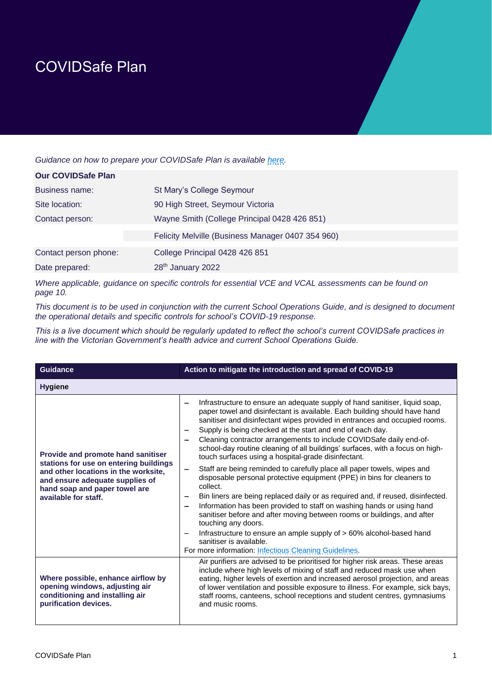## COVIDSafe Plan

*Guidance on how to prepare your COVIDSafe Plan is available [here.](https://www.coronavirus.vic.gov.au/covidsafe-plan)*

| <b>Our COVIDSafe Plan</b> |                                                   |
|---------------------------|---------------------------------------------------|
| Business name:            | St Mary's College Seymour                         |
| Site location:            | 90 High Street, Seymour Victoria                  |
| Contact person:           | Wayne Smith (College Principal 0428 426 851)      |
|                           | Felicity Melville (Business Manager 0407 354 960) |
| Contact person phone:     | College Principal 0428 426 851                    |
| Date prepared:            | 28 <sup>th</sup> January 2022                     |

*Where applicable, guidance on specific controls for essential VCE and VCAL assessments can be found on page 10.*

*This document is to be used in conjunction with the current School Operations Guide, and is designed to document the operational details and specific controls for school's COVID-19 response.* 

*This is a live document which should be regularly updated to reflect the school's current COVIDSafe practices in line with the Victorian Government's health advice and current School Operations Guide.* 

| <b>Guidance</b>                                                                                                                                                                                                  | Action to mitigate the introduction and spread of COVID-19                                                                                                                                                                                                                                                                                                                                                                                                                                                                                                                                                                                                                                                                                                                                                                                                                                                                                                                                                                                                                                                                                                          |
|------------------------------------------------------------------------------------------------------------------------------------------------------------------------------------------------------------------|---------------------------------------------------------------------------------------------------------------------------------------------------------------------------------------------------------------------------------------------------------------------------------------------------------------------------------------------------------------------------------------------------------------------------------------------------------------------------------------------------------------------------------------------------------------------------------------------------------------------------------------------------------------------------------------------------------------------------------------------------------------------------------------------------------------------------------------------------------------------------------------------------------------------------------------------------------------------------------------------------------------------------------------------------------------------------------------------------------------------------------------------------------------------|
| <b>Hygiene</b>                                                                                                                                                                                                   |                                                                                                                                                                                                                                                                                                                                                                                                                                                                                                                                                                                                                                                                                                                                                                                                                                                                                                                                                                                                                                                                                                                                                                     |
| Provide and promote hand sanitiser<br>stations for use on entering buildings<br>and other locations in the worksite,<br>and ensure adequate supplies of<br>hand soap and paper towel are<br>available for staff. | Infrastructure to ensure an adequate supply of hand sanitiser, liquid soap,<br>-<br>paper towel and disinfectant is available. Each building should have hand<br>sanitiser and disinfectant wipes provided in entrances and occupied rooms.<br>Supply is being checked at the start and end of each day.<br>Cleaning contractor arrangements to include COVIDSafe daily end-of-<br>school-day routine cleaning of all buildings' surfaces, with a focus on high-<br>touch surfaces using a hospital-grade disinfectant.<br>Staff are being reminded to carefully place all paper towels, wipes and<br>$\qquad \qquad -$<br>disposable personal protective equipment (PPE) in bins for cleaners to<br>collect.<br>Bin liners are being replaced daily or as required and, if reused, disinfected.<br>Information has been provided to staff on washing hands or using hand<br>sanitiser before and after moving between rooms or buildings, and after<br>touching any doors.<br>Infrastructure to ensure an ample supply of > 60% alcohol-based hand<br>$\overline{\phantom{0}}$<br>sanitiser is available.<br>For more information: Infectious Cleaning Guidelines. |
| Where possible, enhance airflow by<br>opening windows, adjusting air<br>conditioning and installing air<br>purification devices.                                                                                 | Air purifiers are advised to be prioritised for higher risk areas. These areas<br>include where high levels of mixing of staff and reduced mask use when<br>eating, higher levels of exertion and increased aerosol projection, and areas<br>of lower ventilation and possible exposure to illness. For example, sick bays,<br>staff rooms, canteens, school receptions and student centres, gymnasiums<br>and music rooms.                                                                                                                                                                                                                                                                                                                                                                                                                                                                                                                                                                                                                                                                                                                                         |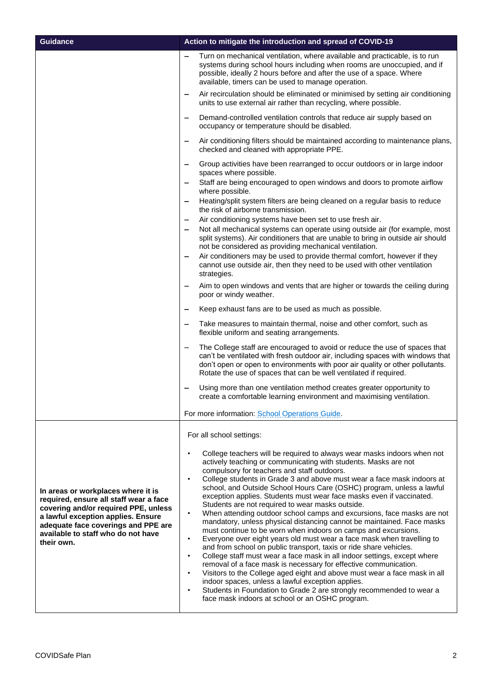| <b>Guidance</b>                                                                                                                                                                                                                                       | Action to mitigate the introduction and spread of COVID-19                                                                                                                                                                                                                                                                                                                                                                                                                                                                                                                                                                                                                                                                                                                                                                                                                                                                                                                                                                                                                                                                                                                                                                                                                                                                                |
|-------------------------------------------------------------------------------------------------------------------------------------------------------------------------------------------------------------------------------------------------------|-------------------------------------------------------------------------------------------------------------------------------------------------------------------------------------------------------------------------------------------------------------------------------------------------------------------------------------------------------------------------------------------------------------------------------------------------------------------------------------------------------------------------------------------------------------------------------------------------------------------------------------------------------------------------------------------------------------------------------------------------------------------------------------------------------------------------------------------------------------------------------------------------------------------------------------------------------------------------------------------------------------------------------------------------------------------------------------------------------------------------------------------------------------------------------------------------------------------------------------------------------------------------------------------------------------------------------------------|
|                                                                                                                                                                                                                                                       | Turn on mechanical ventilation, where available and practicable, is to run<br>systems during school hours including when rooms are unoccupied, and if<br>possible, ideally 2 hours before and after the use of a space. Where<br>available, timers can be used to manage operation.                                                                                                                                                                                                                                                                                                                                                                                                                                                                                                                                                                                                                                                                                                                                                                                                                                                                                                                                                                                                                                                       |
|                                                                                                                                                                                                                                                       | Air recirculation should be eliminated or minimised by setting air conditioning<br>$\qquad \qquad -$<br>units to use external air rather than recycling, where possible.                                                                                                                                                                                                                                                                                                                                                                                                                                                                                                                                                                                                                                                                                                                                                                                                                                                                                                                                                                                                                                                                                                                                                                  |
|                                                                                                                                                                                                                                                       | Demand-controlled ventilation controls that reduce air supply based on<br>occupancy or temperature should be disabled.                                                                                                                                                                                                                                                                                                                                                                                                                                                                                                                                                                                                                                                                                                                                                                                                                                                                                                                                                                                                                                                                                                                                                                                                                    |
|                                                                                                                                                                                                                                                       | Air conditioning filters should be maintained according to maintenance plans,<br>checked and cleaned with appropriate PPE.                                                                                                                                                                                                                                                                                                                                                                                                                                                                                                                                                                                                                                                                                                                                                                                                                                                                                                                                                                                                                                                                                                                                                                                                                |
|                                                                                                                                                                                                                                                       | Group activities have been rearranged to occur outdoors or in large indoor<br>$\qquad \qquad \qquad$<br>spaces where possible.<br>Staff are being encouraged to open windows and doors to promote airflow<br>$\overline{\phantom{0}}$<br>where possible.                                                                                                                                                                                                                                                                                                                                                                                                                                                                                                                                                                                                                                                                                                                                                                                                                                                                                                                                                                                                                                                                                  |
|                                                                                                                                                                                                                                                       | Heating/split system filters are being cleaned on a regular basis to reduce<br>the risk of airborne transmission.                                                                                                                                                                                                                                                                                                                                                                                                                                                                                                                                                                                                                                                                                                                                                                                                                                                                                                                                                                                                                                                                                                                                                                                                                         |
|                                                                                                                                                                                                                                                       | Air conditioning systems have been set to use fresh air.<br>$\qquad \qquad$<br>Not all mechanical systems can operate using outside air (for example, most<br>$\qquad \qquad$<br>split systems). Air conditioners that are unable to bring in outside air should<br>not be considered as providing mechanical ventilation.<br>Air conditioners may be used to provide thermal comfort, however if they<br>$\qquad \qquad -$<br>cannot use outside air, then they need to be used with other ventilation                                                                                                                                                                                                                                                                                                                                                                                                                                                                                                                                                                                                                                                                                                                                                                                                                                   |
|                                                                                                                                                                                                                                                       | strategies.<br>Aim to open windows and vents that are higher or towards the ceiling during<br>poor or windy weather.                                                                                                                                                                                                                                                                                                                                                                                                                                                                                                                                                                                                                                                                                                                                                                                                                                                                                                                                                                                                                                                                                                                                                                                                                      |
|                                                                                                                                                                                                                                                       | Keep exhaust fans are to be used as much as possible.                                                                                                                                                                                                                                                                                                                                                                                                                                                                                                                                                                                                                                                                                                                                                                                                                                                                                                                                                                                                                                                                                                                                                                                                                                                                                     |
|                                                                                                                                                                                                                                                       | Take measures to maintain thermal, noise and other comfort, such as<br>flexible uniform and seating arrangements.                                                                                                                                                                                                                                                                                                                                                                                                                                                                                                                                                                                                                                                                                                                                                                                                                                                                                                                                                                                                                                                                                                                                                                                                                         |
|                                                                                                                                                                                                                                                       | The College staff are encouraged to avoid or reduce the use of spaces that<br>$\qquad \qquad -$<br>can't be ventilated with fresh outdoor air, including spaces with windows that<br>don't open or open to environments with poor air quality or other pollutants.<br>Rotate the use of spaces that can be well ventilated if required.                                                                                                                                                                                                                                                                                                                                                                                                                                                                                                                                                                                                                                                                                                                                                                                                                                                                                                                                                                                                   |
|                                                                                                                                                                                                                                                       | Using more than one ventilation method creates greater opportunity to<br>$\overline{\phantom{0}}$<br>create a comfortable learning environment and maximising ventilation.                                                                                                                                                                                                                                                                                                                                                                                                                                                                                                                                                                                                                                                                                                                                                                                                                                                                                                                                                                                                                                                                                                                                                                |
|                                                                                                                                                                                                                                                       | For more information: School Operations Guide.                                                                                                                                                                                                                                                                                                                                                                                                                                                                                                                                                                                                                                                                                                                                                                                                                                                                                                                                                                                                                                                                                                                                                                                                                                                                                            |
|                                                                                                                                                                                                                                                       | For all school settings:                                                                                                                                                                                                                                                                                                                                                                                                                                                                                                                                                                                                                                                                                                                                                                                                                                                                                                                                                                                                                                                                                                                                                                                                                                                                                                                  |
| In areas or workplaces where it is<br>required, ensure all staff wear a face<br>covering and/or required PPE, unless<br>a lawful exception applies. Ensure<br>adequate face coverings and PPE are<br>available to staff who do not have<br>their own. | College teachers will be required to always wear masks indoors when not<br>actively teaching or communicating with students. Masks are not<br>compulsory for teachers and staff outdoors.<br>College students in Grade 3 and above must wear a face mask indoors at<br>$\bullet$<br>school, and Outside School Hours Care (OSHC) program, unless a lawful<br>exception applies. Students must wear face masks even if vaccinated.<br>Students are not required to wear masks outside.<br>When attending outdoor school camps and excursions, face masks are not<br>$\bullet$<br>mandatory, unless physical distancing cannot be maintained. Face masks<br>must continue to be worn when indoors on camps and excursions.<br>Everyone over eight years old must wear a face mask when travelling to<br>$\bullet$<br>and from school on public transport, taxis or ride share vehicles.<br>College staff must wear a face mask in all indoor settings, except where<br>$\bullet$<br>removal of a face mask is necessary for effective communication.<br>Visitors to the College aged eight and above must wear a face mask in all<br>$\bullet$<br>indoor spaces, unless a lawful exception applies.<br>Students in Foundation to Grade 2 are strongly recommended to wear a<br>$\bullet$<br>face mask indoors at school or an OSHC program. |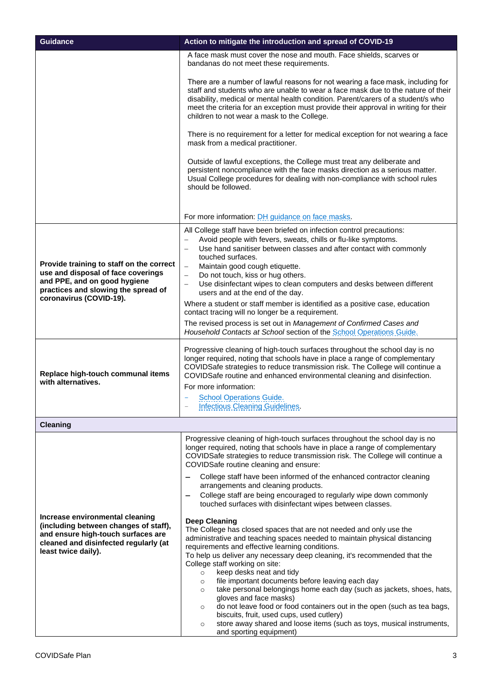| <b>Guidance</b>                                                                                                                                                                  | Action to mitigate the introduction and spread of COVID-19                                                                                                                                                                                                                                                                                                                                                                                                                                                                                                                                                                                                                                                                                                                                                                                                                                                                                                                                                                                                                                                                                                                                                                                                                                                                                                 |
|----------------------------------------------------------------------------------------------------------------------------------------------------------------------------------|------------------------------------------------------------------------------------------------------------------------------------------------------------------------------------------------------------------------------------------------------------------------------------------------------------------------------------------------------------------------------------------------------------------------------------------------------------------------------------------------------------------------------------------------------------------------------------------------------------------------------------------------------------------------------------------------------------------------------------------------------------------------------------------------------------------------------------------------------------------------------------------------------------------------------------------------------------------------------------------------------------------------------------------------------------------------------------------------------------------------------------------------------------------------------------------------------------------------------------------------------------------------------------------------------------------------------------------------------------|
|                                                                                                                                                                                  | A face mask must cover the nose and mouth. Face shields, scarves or<br>bandanas do not meet these requirements.                                                                                                                                                                                                                                                                                                                                                                                                                                                                                                                                                                                                                                                                                                                                                                                                                                                                                                                                                                                                                                                                                                                                                                                                                                            |
|                                                                                                                                                                                  | There are a number of lawful reasons for not wearing a face mask, including for<br>staff and students who are unable to wear a face mask due to the nature of their<br>disability, medical or mental health condition. Parent/carers of a student/s who<br>meet the criteria for an exception must provide their approval in writing for their<br>children to not wear a mask to the College.                                                                                                                                                                                                                                                                                                                                                                                                                                                                                                                                                                                                                                                                                                                                                                                                                                                                                                                                                              |
|                                                                                                                                                                                  | There is no requirement for a letter for medical exception for not wearing a face<br>mask from a medical practitioner.                                                                                                                                                                                                                                                                                                                                                                                                                                                                                                                                                                                                                                                                                                                                                                                                                                                                                                                                                                                                                                                                                                                                                                                                                                     |
|                                                                                                                                                                                  | Outside of lawful exceptions, the College must treat any deliberate and<br>persistent noncompliance with the face masks direction as a serious matter.<br>Usual College procedures for dealing with non-compliance with school rules<br>should be followed.                                                                                                                                                                                                                                                                                                                                                                                                                                                                                                                                                                                                                                                                                                                                                                                                                                                                                                                                                                                                                                                                                                |
|                                                                                                                                                                                  | For more information: DH guidance on face masks.                                                                                                                                                                                                                                                                                                                                                                                                                                                                                                                                                                                                                                                                                                                                                                                                                                                                                                                                                                                                                                                                                                                                                                                                                                                                                                           |
| Provide training to staff on the correct<br>use and disposal of face coverings<br>and PPE, and on good hygiene<br>practices and slowing the spread of<br>coronavirus (COVID-19). | All College staff have been briefed on infection control precautions:<br>Avoid people with fevers, sweats, chills or flu-like symptoms.<br>Use hand sanitiser between classes and after contact with commonly<br>$\overline{\phantom{0}}$<br>touched surfaces.<br>Maintain good cough etiquette.<br>Do not touch, kiss or hug others.<br>$\equiv$<br>Use disinfectant wipes to clean computers and desks between different<br>$\qquad \qquad -$<br>users and at the end of the day.<br>Where a student or staff member is identified as a positive case, education<br>contact tracing will no longer be a requirement.<br>The revised process is set out in Management of Confirmed Cases and<br>Household Contacts at School section of the School Operations Guide.                                                                                                                                                                                                                                                                                                                                                                                                                                                                                                                                                                                      |
| Replace high-touch communal items<br>with alternatives.                                                                                                                          | Progressive cleaning of high-touch surfaces throughout the school day is no<br>longer required, noting that schools have in place a range of complementary<br>COVIDSafe strategies to reduce transmission risk. The College will continue a<br>COVIDSafe routine and enhanced environmental cleaning and disinfection.<br>For more information:<br><b>School Operations Guide.</b><br><b>Infectious Cleaning Guidelines.</b>                                                                                                                                                                                                                                                                                                                                                                                                                                                                                                                                                                                                                                                                                                                                                                                                                                                                                                                               |
| <b>Cleaning</b>                                                                                                                                                                  |                                                                                                                                                                                                                                                                                                                                                                                                                                                                                                                                                                                                                                                                                                                                                                                                                                                                                                                                                                                                                                                                                                                                                                                                                                                                                                                                                            |
| Increase environmental cleaning<br>(including between changes of staff),<br>and ensure high-touch surfaces are<br>cleaned and disinfected regularly (at<br>least twice daily).   | Progressive cleaning of high-touch surfaces throughout the school day is no<br>longer required, noting that schools have in place a range of complementary<br>COVIDSafe strategies to reduce transmission risk. The College will continue a<br>COVIDSafe routine cleaning and ensure:<br>College staff have been informed of the enhanced contractor cleaning<br>arrangements and cleaning products.<br>College staff are being encouraged to regularly wipe down commonly<br>touched surfaces with disinfectant wipes between classes.<br><b>Deep Cleaning</b><br>The College has closed spaces that are not needed and only use the<br>administrative and teaching spaces needed to maintain physical distancing<br>requirements and effective learning conditions.<br>To help us deliver any necessary deep cleaning, it's recommended that the<br>College staff working on site:<br>keep desks neat and tidy<br>$\circ$<br>file important documents before leaving each day<br>$\circ$<br>take personal belongings home each day (such as jackets, shoes, hats,<br>$\circ$<br>gloves and face masks)<br>do not leave food or food containers out in the open (such as tea bags,<br>$\circ$<br>biscuits, fruit, used cups, used cutlery)<br>store away shared and loose items (such as toys, musical instruments,<br>$\circ$<br>and sporting equipment) |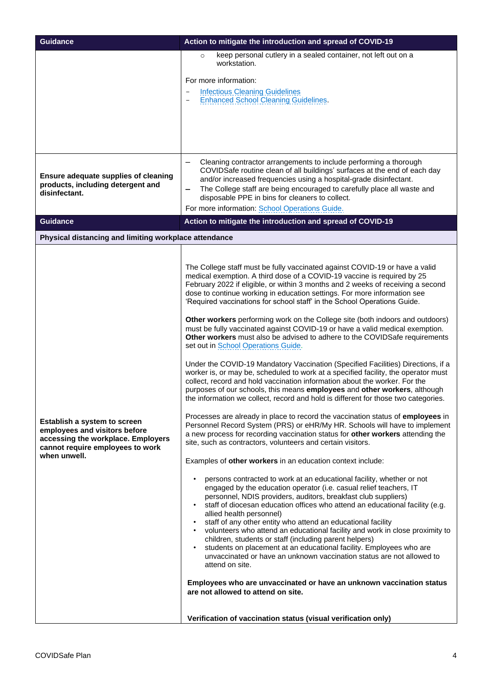| <b>Guidance</b>                                                                                                                                         | Action to mitigate the introduction and spread of COVID-19                                                                                                                                                                                                                                                                                                                                                                                                                                                                                                                                                                                                                                                                                                                                                                                                                                                                                                                                                                                                                                                                                                                                                                                                                                                                                                                                                                                                                                                                                                                                                                                                                                                                                                                                                                                                                                                                                                                                                                                                                                                                                                                                                                                                                                                                                                                                          |
|---------------------------------------------------------------------------------------------------------------------------------------------------------|-----------------------------------------------------------------------------------------------------------------------------------------------------------------------------------------------------------------------------------------------------------------------------------------------------------------------------------------------------------------------------------------------------------------------------------------------------------------------------------------------------------------------------------------------------------------------------------------------------------------------------------------------------------------------------------------------------------------------------------------------------------------------------------------------------------------------------------------------------------------------------------------------------------------------------------------------------------------------------------------------------------------------------------------------------------------------------------------------------------------------------------------------------------------------------------------------------------------------------------------------------------------------------------------------------------------------------------------------------------------------------------------------------------------------------------------------------------------------------------------------------------------------------------------------------------------------------------------------------------------------------------------------------------------------------------------------------------------------------------------------------------------------------------------------------------------------------------------------------------------------------------------------------------------------------------------------------------------------------------------------------------------------------------------------------------------------------------------------------------------------------------------------------------------------------------------------------------------------------------------------------------------------------------------------------------------------------------------------------------------------------------------------------|
|                                                                                                                                                         | keep personal cutlery in a sealed container, not left out on a<br>$\circ$<br>workstation.<br>For more information:<br><b>Infectious Cleaning Guidelines</b><br><b>Enhanced School Cleaning Guidelines.</b>                                                                                                                                                                                                                                                                                                                                                                                                                                                                                                                                                                                                                                                                                                                                                                                                                                                                                                                                                                                                                                                                                                                                                                                                                                                                                                                                                                                                                                                                                                                                                                                                                                                                                                                                                                                                                                                                                                                                                                                                                                                                                                                                                                                          |
| Ensure adequate supplies of cleaning<br>products, including detergent and<br>disinfectant.<br><b>Guidance</b>                                           | Cleaning contractor arrangements to include performing a thorough<br>COVIDSafe routine clean of all buildings' surfaces at the end of each day<br>and/or increased frequencies using a hospital-grade disinfectant.<br>The College staff are being encouraged to carefully place all waste and<br>$\qquad \qquad -$<br>disposable PPE in bins for cleaners to collect.<br>For more information: School Operations Guide.<br>Action to mitigate the introduction and spread of COVID-19                                                                                                                                                                                                                                                                                                                                                                                                                                                                                                                                                                                                                                                                                                                                                                                                                                                                                                                                                                                                                                                                                                                                                                                                                                                                                                                                                                                                                                                                                                                                                                                                                                                                                                                                                                                                                                                                                                              |
| Physical distancing and limiting workplace attendance                                                                                                   |                                                                                                                                                                                                                                                                                                                                                                                                                                                                                                                                                                                                                                                                                                                                                                                                                                                                                                                                                                                                                                                                                                                                                                                                                                                                                                                                                                                                                                                                                                                                                                                                                                                                                                                                                                                                                                                                                                                                                                                                                                                                                                                                                                                                                                                                                                                                                                                                     |
| Establish a system to screen<br>employees and visitors before<br>accessing the workplace. Employers<br>cannot require employees to work<br>when unwell. | The College staff must be fully vaccinated against COVID-19 or have a valid<br>medical exemption. A third dose of a COVID-19 vaccine is required by 25<br>February 2022 if eligible, or within 3 months and 2 weeks of receiving a second<br>dose to continue working in education settings. For more information see<br>'Required vaccinations for school staff' in the School Operations Guide.<br>Other workers performing work on the College site (both indoors and outdoors)<br>must be fully vaccinated against COVID-19 or have a valid medical exemption.<br>Other workers must also be advised to adhere to the COVIDSafe requirements<br>set out in <b>School Operations Guide</b> .<br>Under the COVID-19 Mandatory Vaccination (Specified Facilities) Directions, if a<br>worker is, or may be, scheduled to work at a specified facility, the operator must<br>collect, record and hold vaccination information about the worker. For the<br>purposes of our schools, this means employees and other workers, although<br>the information we collect, record and hold is different for those two categories.<br>Processes are already in place to record the vaccination status of employees in<br>Personnel Record System (PRS) or eHR/My HR. Schools will have to implement<br>a new process for recording vaccination status for other workers attending the<br>site, such as contractors, volunteers and certain visitors.<br>Examples of other workers in an education context include:<br>persons contracted to work at an educational facility, whether or not<br>engaged by the education operator (i.e. casual relief teachers, IT<br>personnel, NDIS providers, auditors, breakfast club suppliers)<br>staff of diocesan education offices who attend an educational facility (e.g.<br>allied health personnel)<br>staff of any other entity who attend an educational facility<br>volunteers who attend an educational facility and work in close proximity to<br>children, students or staff (including parent helpers)<br>students on placement at an educational facility. Employees who are<br>unvaccinated or have an unknown vaccination status are not allowed to<br>attend on site.<br>Employees who are unvaccinated or have an unknown vaccination status<br>are not allowed to attend on site.<br>Verification of vaccination status (visual verification only) |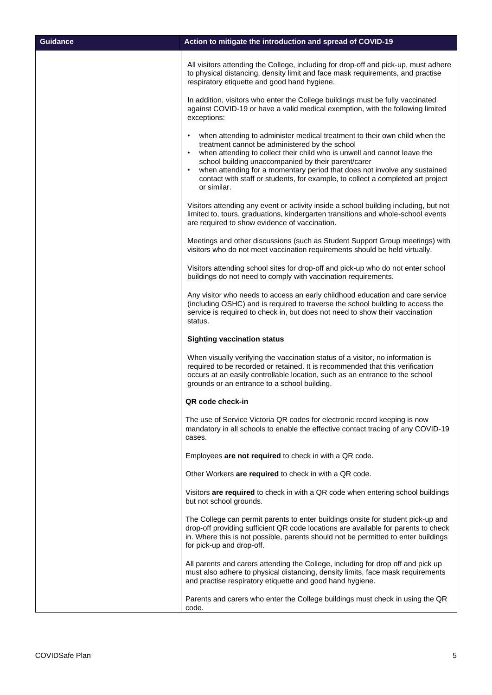| <b>Guidance</b> | Action to mitigate the introduction and spread of COVID-19                                                                                                                                                                                                                                                                                                                                                                                                                    |
|-----------------|-------------------------------------------------------------------------------------------------------------------------------------------------------------------------------------------------------------------------------------------------------------------------------------------------------------------------------------------------------------------------------------------------------------------------------------------------------------------------------|
|                 | All visitors attending the College, including for drop-off and pick-up, must adhere<br>to physical distancing, density limit and face mask requirements, and practise<br>respiratory etiquette and good hand hygiene.                                                                                                                                                                                                                                                         |
|                 | In addition, visitors who enter the College buildings must be fully vaccinated<br>against COVID-19 or have a valid medical exemption, with the following limited<br>exceptions:                                                                                                                                                                                                                                                                                               |
|                 | when attending to administer medical treatment to their own child when the<br>$\bullet$<br>treatment cannot be administered by the school<br>when attending to collect their child who is unwell and cannot leave the<br>٠<br>school building unaccompanied by their parent/carer<br>when attending for a momentary period that does not involve any sustained<br>$\bullet$<br>contact with staff or students, for example, to collect a completed art project<br>or similar. |
|                 | Visitors attending any event or activity inside a school building including, but not<br>limited to, tours, graduations, kindergarten transitions and whole-school events<br>are required to show evidence of vaccination.                                                                                                                                                                                                                                                     |
|                 | Meetings and other discussions (such as Student Support Group meetings) with<br>visitors who do not meet vaccination requirements should be held virtually.                                                                                                                                                                                                                                                                                                                   |
|                 | Visitors attending school sites for drop-off and pick-up who do not enter school<br>buildings do not need to comply with vaccination requirements.                                                                                                                                                                                                                                                                                                                            |
|                 | Any visitor who needs to access an early childhood education and care service<br>(including OSHC) and is required to traverse the school building to access the<br>service is required to check in, but does not need to show their vaccination<br>status.                                                                                                                                                                                                                    |
|                 | <b>Sighting vaccination status</b>                                                                                                                                                                                                                                                                                                                                                                                                                                            |
|                 | When visually verifying the vaccination status of a visitor, no information is<br>required to be recorded or retained. It is recommended that this verification<br>occurs at an easily controllable location, such as an entrance to the school<br>grounds or an entrance to a school building.                                                                                                                                                                               |
|                 | QR code check-in                                                                                                                                                                                                                                                                                                                                                                                                                                                              |
|                 | The use of Service Victoria QR codes for electronic record keeping is now<br>mandatory in all schools to enable the effective contact tracing of any COVID-19<br>cases.                                                                                                                                                                                                                                                                                                       |
|                 | Employees are not required to check in with a QR code.                                                                                                                                                                                                                                                                                                                                                                                                                        |
|                 | Other Workers are required to check in with a QR code.                                                                                                                                                                                                                                                                                                                                                                                                                        |
|                 | Visitors are required to check in with a QR code when entering school buildings<br>but not school grounds.                                                                                                                                                                                                                                                                                                                                                                    |
|                 | The College can permit parents to enter buildings onsite for student pick-up and<br>drop-off providing sufficient QR code locations are available for parents to check<br>in. Where this is not possible, parents should not be permitted to enter buildings<br>for pick-up and drop-off.                                                                                                                                                                                     |
|                 | All parents and carers attending the College, including for drop off and pick up<br>must also adhere to physical distancing, density limits, face mask requirements<br>and practise respiratory etiquette and good hand hygiene.                                                                                                                                                                                                                                              |
|                 | Parents and carers who enter the College buildings must check in using the QR<br>code.                                                                                                                                                                                                                                                                                                                                                                                        |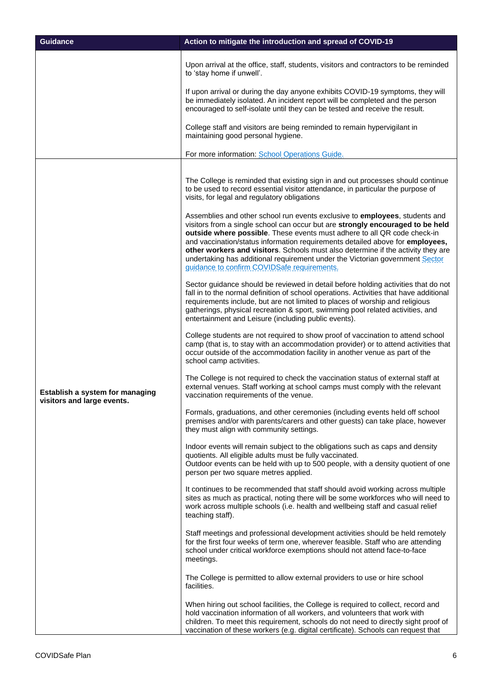| <b>Guidance</b>                                               | Action to mitigate the introduction and spread of COVID-19                                                                                                                                                                                                                                                                                                                                                                                                     |
|---------------------------------------------------------------|----------------------------------------------------------------------------------------------------------------------------------------------------------------------------------------------------------------------------------------------------------------------------------------------------------------------------------------------------------------------------------------------------------------------------------------------------------------|
|                                                               | Upon arrival at the office, staff, students, visitors and contractors to be reminded<br>to 'stay home if unwell'.                                                                                                                                                                                                                                                                                                                                              |
|                                                               | If upon arrival or during the day anyone exhibits COVID-19 symptoms, they will<br>be immediately isolated. An incident report will be completed and the person<br>encouraged to self-isolate until they can be tested and receive the result.                                                                                                                                                                                                                  |
|                                                               | College staff and visitors are being reminded to remain hypervigilant in<br>maintaining good personal hygiene.                                                                                                                                                                                                                                                                                                                                                 |
|                                                               | For more information: School Operations Guide.                                                                                                                                                                                                                                                                                                                                                                                                                 |
|                                                               | The College is reminded that existing sign in and out processes should continue<br>to be used to record essential visitor attendance, in particular the purpose of<br>visits, for legal and regulatory obligations<br>Assemblies and other school run events exclusive to employees, students and                                                                                                                                                              |
| Establish a system for managing<br>visitors and large events. | visitors from a single school can occur but are strongly encouraged to be held<br>outside where possible. These events must adhere to all QR code check-in<br>and vaccination/status information requirements detailed above for employees,<br>other workers and visitors. Schools must also determine if the activity they are<br>undertaking has additional requirement under the Victorian government Sector<br>guidance to confirm COVIDSafe requirements. |
|                                                               | Sector guidance should be reviewed in detail before holding activities that do not<br>fall in to the normal definition of school operations. Activities that have additional<br>requirements include, but are not limited to places of worship and religious<br>gatherings, physical recreation & sport, swimming pool related activities, and<br>entertainment and Leisure (including public events).                                                         |
|                                                               | College students are not required to show proof of vaccination to attend school<br>camp (that is, to stay with an accommodation provider) or to attend activities that<br>occur outside of the accommodation facility in another venue as part of the<br>school camp activities.                                                                                                                                                                               |
|                                                               | The College is not required to check the vaccination status of external staff at<br>external venues. Staff working at school camps must comply with the relevant<br>vaccination requirements of the venue.                                                                                                                                                                                                                                                     |
|                                                               | Formals, graduations, and other ceremonies (including events held off school<br>premises and/or with parents/carers and other guests) can take place, however<br>they must align with community settings.                                                                                                                                                                                                                                                      |
|                                                               | Indoor events will remain subject to the obligations such as caps and density<br>quotients. All eligible adults must be fully vaccinated.<br>Outdoor events can be held with up to 500 people, with a density quotient of one<br>person per two square metres applied.                                                                                                                                                                                         |
|                                                               | It continues to be recommended that staff should avoid working across multiple<br>sites as much as practical, noting there will be some workforces who will need to<br>work across multiple schools (i.e. health and wellbeing staff and casual relief<br>teaching staff).                                                                                                                                                                                     |
|                                                               | Staff meetings and professional development activities should be held remotely<br>for the first four weeks of term one, wherever feasible. Staff who are attending<br>school under critical workforce exemptions should not attend face-to-face<br>meetings.                                                                                                                                                                                                   |
|                                                               | The College is permitted to allow external providers to use or hire school<br>facilities.                                                                                                                                                                                                                                                                                                                                                                      |
|                                                               | When hiring out school facilities, the College is required to collect, record and<br>hold vaccination information of all workers, and volunteers that work with<br>children. To meet this requirement, schools do not need to directly sight proof of<br>vaccination of these workers (e.g. digital certificate). Schools can request that                                                                                                                     |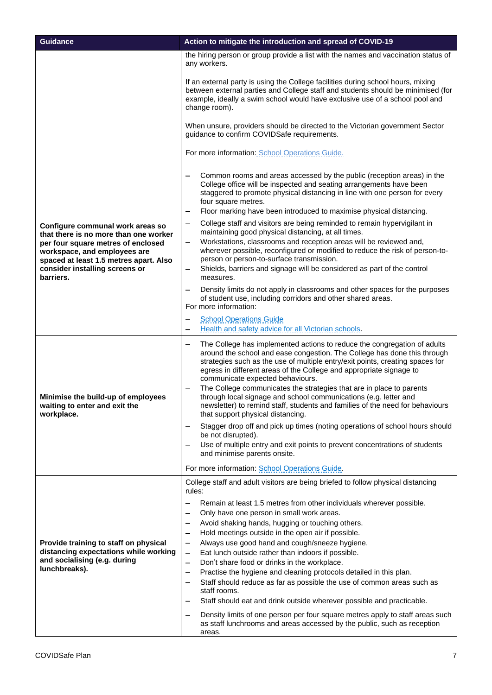| <b>Guidance</b>                                                                                                                                       | Action to mitigate the introduction and spread of COVID-19                                                                                                                                                                                                                                                                                                                                                                 |
|-------------------------------------------------------------------------------------------------------------------------------------------------------|----------------------------------------------------------------------------------------------------------------------------------------------------------------------------------------------------------------------------------------------------------------------------------------------------------------------------------------------------------------------------------------------------------------------------|
|                                                                                                                                                       | the hiring person or group provide a list with the names and vaccination status of<br>any workers.                                                                                                                                                                                                                                                                                                                         |
|                                                                                                                                                       | If an external party is using the College facilities during school hours, mixing<br>between external parties and College staff and students should be minimised (for<br>example, ideally a swim school would have exclusive use of a school pool and<br>change room).                                                                                                                                                      |
|                                                                                                                                                       | When unsure, providers should be directed to the Victorian government Sector<br>guidance to confirm COVIDSafe requirements.                                                                                                                                                                                                                                                                                                |
|                                                                                                                                                       | For more information: School Operations Guide.                                                                                                                                                                                                                                                                                                                                                                             |
|                                                                                                                                                       | Common rooms and areas accessed by the public (reception areas) in the<br>College office will be inspected and seating arrangements have been<br>staggered to promote physical distancing in line with one person for every<br>four square metres.<br>Floor marking have been introduced to maximise physical distancing.                                                                                                  |
| Configure communal work areas so                                                                                                                      | College staff and visitors are being reminded to remain hypervigilant in                                                                                                                                                                                                                                                                                                                                                   |
| that there is no more than one worker<br>per four square metres of enclosed<br>workspace, and employees are<br>spaced at least 1.5 metres apart. Also | maintaining good physical distancing, at all times.<br>Workstations, classrooms and reception areas will be reviewed and,<br>—<br>wherever possible, reconfigured or modified to reduce the risk of person-to-<br>person or person-to-surface transmission.                                                                                                                                                                |
| consider installing screens or<br>barriers.                                                                                                           | Shields, barriers and signage will be considered as part of the control<br>—<br>measures.                                                                                                                                                                                                                                                                                                                                  |
|                                                                                                                                                       | Density limits do not apply in classrooms and other spaces for the purposes<br>of student use, including corridors and other shared areas.<br>For more information:                                                                                                                                                                                                                                                        |
|                                                                                                                                                       | <b>School Operations Guide</b>                                                                                                                                                                                                                                                                                                                                                                                             |
|                                                                                                                                                       | Health and safety advice for all Victorian schools.<br>The College has implemented actions to reduce the congregation of adults<br>$\qquad \qquad$<br>around the school and ease congestion. The College has done this through<br>strategies such as the use of multiple entry/exit points, creating spaces for<br>egress in different areas of the College and appropriate signage to<br>communicate expected behaviours. |
| Minimise the build-up of employees<br>waiting to enter and exit the<br>workplace.                                                                     | The College communicates the strategies that are in place to parents<br>through local signage and school communications (e.g. letter and<br>newsletter) to remind staff, students and families of the need for behaviours<br>that support physical distancing.                                                                                                                                                             |
|                                                                                                                                                       | Stagger drop off and pick up times (noting operations of school hours should                                                                                                                                                                                                                                                                                                                                               |
|                                                                                                                                                       | be not disrupted).<br>Use of multiple entry and exit points to prevent concentrations of students<br>and minimise parents onsite.                                                                                                                                                                                                                                                                                          |
|                                                                                                                                                       | For more information: School Operations Guide.                                                                                                                                                                                                                                                                                                                                                                             |
|                                                                                                                                                       | College staff and adult visitors are being briefed to follow physical distancing<br>rules:                                                                                                                                                                                                                                                                                                                                 |
|                                                                                                                                                       | Remain at least 1.5 metres from other individuals wherever possible.                                                                                                                                                                                                                                                                                                                                                       |
|                                                                                                                                                       | Only have one person in small work areas.                                                                                                                                                                                                                                                                                                                                                                                  |
|                                                                                                                                                       | Avoid shaking hands, hugging or touching others.<br>-<br>Hold meetings outside in the open air if possible.<br>-                                                                                                                                                                                                                                                                                                           |
| Provide training to staff on physical                                                                                                                 | Always use good hand and cough/sneeze hygiene.<br>$\qquad \qquad -$                                                                                                                                                                                                                                                                                                                                                        |
| distancing expectations while working                                                                                                                 | Eat lunch outside rather than indoors if possible.<br>-                                                                                                                                                                                                                                                                                                                                                                    |
| and socialising (e.g. during<br>lunchbreaks).                                                                                                         | Don't share food or drinks in the workplace.<br>-                                                                                                                                                                                                                                                                                                                                                                          |
|                                                                                                                                                       | Practise the hygiene and cleaning protocols detailed in this plan.<br>Staff should reduce as far as possible the use of common areas such as<br>$\overline{\phantom{0}}$                                                                                                                                                                                                                                                   |
|                                                                                                                                                       | staff rooms.                                                                                                                                                                                                                                                                                                                                                                                                               |
|                                                                                                                                                       | Staff should eat and drink outside wherever possible and practicable.                                                                                                                                                                                                                                                                                                                                                      |
|                                                                                                                                                       | Density limits of one person per four square metres apply to staff areas such<br>as staff lunchrooms and areas accessed by the public, such as reception<br>areas.                                                                                                                                                                                                                                                         |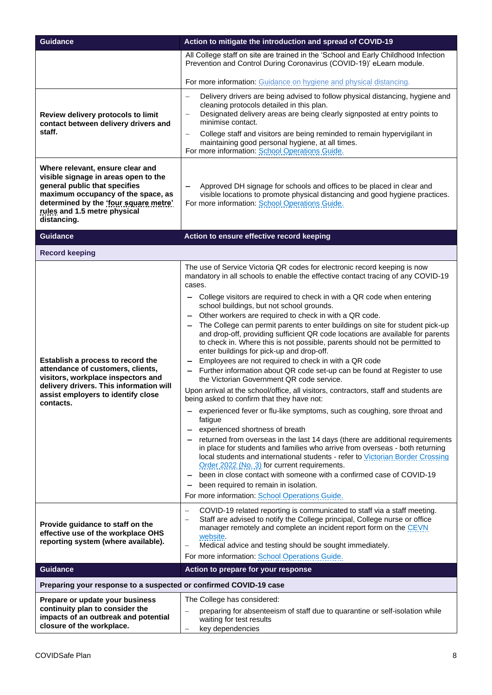| <b>Guidance</b>                                                                                                                                                                                                                         | Action to mitigate the introduction and spread of COVID-19                                                                                                                                                                                                                                                                                                                                                                                                                                                                                                                                                                                                                                                                                                                                                                                                                                                                                                                                                                                                                                                                                                                                                                                                                                                                                                                                                                                                                                                                                                                         |
|-----------------------------------------------------------------------------------------------------------------------------------------------------------------------------------------------------------------------------------------|------------------------------------------------------------------------------------------------------------------------------------------------------------------------------------------------------------------------------------------------------------------------------------------------------------------------------------------------------------------------------------------------------------------------------------------------------------------------------------------------------------------------------------------------------------------------------------------------------------------------------------------------------------------------------------------------------------------------------------------------------------------------------------------------------------------------------------------------------------------------------------------------------------------------------------------------------------------------------------------------------------------------------------------------------------------------------------------------------------------------------------------------------------------------------------------------------------------------------------------------------------------------------------------------------------------------------------------------------------------------------------------------------------------------------------------------------------------------------------------------------------------------------------------------------------------------------------|
|                                                                                                                                                                                                                                         | All College staff on site are trained in the 'School and Early Childhood Infection<br>Prevention and Control During Coronavirus (COVID-19)' eLearn module.                                                                                                                                                                                                                                                                                                                                                                                                                                                                                                                                                                                                                                                                                                                                                                                                                                                                                                                                                                                                                                                                                                                                                                                                                                                                                                                                                                                                                         |
|                                                                                                                                                                                                                                         | For more information: Guidance on hygiene and physical distancing.                                                                                                                                                                                                                                                                                                                                                                                                                                                                                                                                                                                                                                                                                                                                                                                                                                                                                                                                                                                                                                                                                                                                                                                                                                                                                                                                                                                                                                                                                                                 |
| Review delivery protocols to limit<br>contact between delivery drivers and<br>staff.                                                                                                                                                    | Delivery drivers are being advised to follow physical distancing, hygiene and<br>$\overline{\phantom{m}}$<br>cleaning protocols detailed in this plan.<br>Designated delivery areas are being clearly signposted at entry points to<br>$\qquad \qquad -$<br>minimise contact.<br>College staff and visitors are being reminded to remain hypervigilant in<br>$\overline{\phantom{m}}$<br>maintaining good personal hygiene, at all times.<br>For more information: School Operations Guide.                                                                                                                                                                                                                                                                                                                                                                                                                                                                                                                                                                                                                                                                                                                                                                                                                                                                                                                                                                                                                                                                                        |
| Where relevant, ensure clear and<br>visible signage in areas open to the<br>general public that specifies<br>maximum occupancy of the space, as<br>determined by the 'four square metre'<br>rules and 1.5 metre physical<br>distancing. | Approved DH signage for schools and offices to be placed in clear and<br>$\qquad \qquad$<br>visible locations to promote physical distancing and good hygiene practices.<br>For more information: School Operations Guide.                                                                                                                                                                                                                                                                                                                                                                                                                                                                                                                                                                                                                                                                                                                                                                                                                                                                                                                                                                                                                                                                                                                                                                                                                                                                                                                                                         |
| <b>Guidance</b>                                                                                                                                                                                                                         | Action to ensure effective record keeping                                                                                                                                                                                                                                                                                                                                                                                                                                                                                                                                                                                                                                                                                                                                                                                                                                                                                                                                                                                                                                                                                                                                                                                                                                                                                                                                                                                                                                                                                                                                          |
| <b>Record keeping</b>                                                                                                                                                                                                                   |                                                                                                                                                                                                                                                                                                                                                                                                                                                                                                                                                                                                                                                                                                                                                                                                                                                                                                                                                                                                                                                                                                                                                                                                                                                                                                                                                                                                                                                                                                                                                                                    |
| Establish a process to record the<br>attendance of customers, clients,<br>visitors, workplace inspectors and<br>delivery drivers. This information will<br>assist employers to identify close<br>contacts.                              | The use of Service Victoria QR codes for electronic record keeping is now<br>mandatory in all schools to enable the effective contact tracing of any COVID-19<br>cases.<br>College visitors are required to check in with a QR code when entering<br>school buildings, but not school grounds.<br>Other workers are required to check in with a QR code.<br>The College can permit parents to enter buildings on site for student pick-up<br>and drop-off, providing sufficient QR code locations are available for parents<br>to check in. Where this is not possible, parents should not be permitted to<br>enter buildings for pick-up and drop-off.<br>Employees are not required to check in with a QR code<br>- Further information about QR code set-up can be found at Register to use<br>the Victorian Government QR code service.<br>Upon arrival at the school/office, all visitors, contractors, staff and students are<br>being asked to confirm that they have not:<br>experienced fever or flu-like symptoms, such as coughing, sore throat and<br>fatigue<br>experienced shortness of breath<br>returned from overseas in the last 14 days (there are additional requirements<br>in place for students and families who arrive from overseas - both returning<br>local students and international students - refer to Victorian Border Crossing<br>Order 2022 (No. 3) for current requirements.<br>been in close contact with someone with a confirmed case of COVID-19<br>been required to remain in isolation.<br>For more information: School Operations Guide. |
| Provide guidance to staff on the<br>effective use of the workplace OHS<br>reporting system (where available).                                                                                                                           | COVID-19 related reporting is communicated to staff via a staff meeting.<br>$\overline{\phantom{0}}$<br>Staff are advised to notify the College principal, College nurse or office<br>manager remotely and complete an incident report form on the CEVN<br>website.<br>Medical advice and testing should be sought immediately.<br>$\qquad \qquad -$<br>For more information: School Operations Guide.                                                                                                                                                                                                                                                                                                                                                                                                                                                                                                                                                                                                                                                                                                                                                                                                                                                                                                                                                                                                                                                                                                                                                                             |
| <b>Guidance</b>                                                                                                                                                                                                                         | Action to prepare for your response                                                                                                                                                                                                                                                                                                                                                                                                                                                                                                                                                                                                                                                                                                                                                                                                                                                                                                                                                                                                                                                                                                                                                                                                                                                                                                                                                                                                                                                                                                                                                |
| Preparing your response to a suspected or confirmed COVID-19 case                                                                                                                                                                       |                                                                                                                                                                                                                                                                                                                                                                                                                                                                                                                                                                                                                                                                                                                                                                                                                                                                                                                                                                                                                                                                                                                                                                                                                                                                                                                                                                                                                                                                                                                                                                                    |
| Prepare or update your business<br>continuity plan to consider the<br>impacts of an outbreak and potential<br>closure of the workplace.                                                                                                 | The College has considered:<br>preparing for absenteeism of staff due to quarantine or self-isolation while<br>waiting for test results<br>key dependencies                                                                                                                                                                                                                                                                                                                                                                                                                                                                                                                                                                                                                                                                                                                                                                                                                                                                                                                                                                                                                                                                                                                                                                                                                                                                                                                                                                                                                        |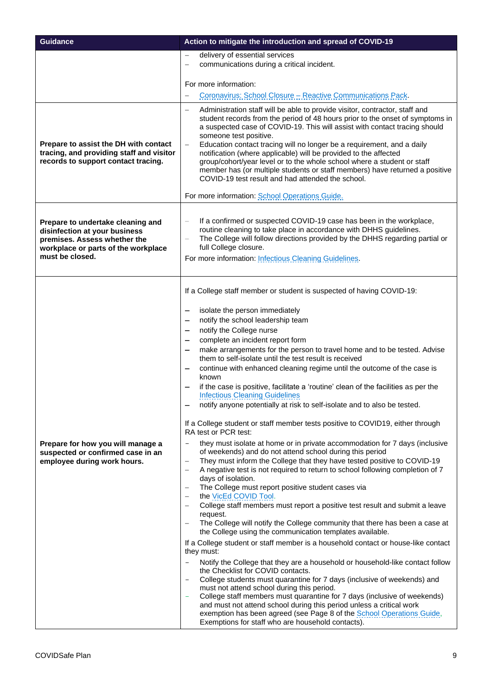| <b>Guidance</b>                                                                                                                                              | Action to mitigate the introduction and spread of COVID-19                                                                                                                                                                                                                                                                                                                                                                                                                                                                                                                                                                                                                                                                                                                                                                                                                                                                                                                                                                                                                                                                                                                                                                                                                                                                                                                                                                                                                                                                                                                                                                                                                                                                                                                                                       |
|--------------------------------------------------------------------------------------------------------------------------------------------------------------|------------------------------------------------------------------------------------------------------------------------------------------------------------------------------------------------------------------------------------------------------------------------------------------------------------------------------------------------------------------------------------------------------------------------------------------------------------------------------------------------------------------------------------------------------------------------------------------------------------------------------------------------------------------------------------------------------------------------------------------------------------------------------------------------------------------------------------------------------------------------------------------------------------------------------------------------------------------------------------------------------------------------------------------------------------------------------------------------------------------------------------------------------------------------------------------------------------------------------------------------------------------------------------------------------------------------------------------------------------------------------------------------------------------------------------------------------------------------------------------------------------------------------------------------------------------------------------------------------------------------------------------------------------------------------------------------------------------------------------------------------------------------------------------------------------------|
|                                                                                                                                                              | delivery of essential services<br>$\overbrace{\phantom{12322111}}$                                                                                                                                                                                                                                                                                                                                                                                                                                                                                                                                                                                                                                                                                                                                                                                                                                                                                                                                                                                                                                                                                                                                                                                                                                                                                                                                                                                                                                                                                                                                                                                                                                                                                                                                               |
|                                                                                                                                                              | communications during a critical incident.<br>$\overline{\phantom{a}}$                                                                                                                                                                                                                                                                                                                                                                                                                                                                                                                                                                                                                                                                                                                                                                                                                                                                                                                                                                                                                                                                                                                                                                                                                                                                                                                                                                                                                                                                                                                                                                                                                                                                                                                                           |
|                                                                                                                                                              | For more information:                                                                                                                                                                                                                                                                                                                                                                                                                                                                                                                                                                                                                                                                                                                                                                                                                                                                                                                                                                                                                                                                                                                                                                                                                                                                                                                                                                                                                                                                                                                                                                                                                                                                                                                                                                                            |
|                                                                                                                                                              | Coronavirus: School Closure - Reactive Communications Pack.<br>$\overline{\phantom{0}}$                                                                                                                                                                                                                                                                                                                                                                                                                                                                                                                                                                                                                                                                                                                                                                                                                                                                                                                                                                                                                                                                                                                                                                                                                                                                                                                                                                                                                                                                                                                                                                                                                                                                                                                          |
| Prepare to assist the DH with contact<br>tracing, and providing staff and visitor<br>records to support contact tracing.                                     | Administration staff will be able to provide visitor, contractor, staff and<br>$\overline{\phantom{0}}$<br>student records from the period of 48 hours prior to the onset of symptoms in<br>a suspected case of COVID-19. This will assist with contact tracing should<br>someone test positive.<br>Education contact tracing will no longer be a requirement, and a daily<br>$\overline{\phantom{0}}$<br>notification (where applicable) will be provided to the affected<br>group/cohort/year level or to the whole school where a student or staff<br>member has (or multiple students or staff members) have returned a positive<br>COVID-19 test result and had attended the school.<br>For more information: School Operations Guide.                                                                                                                                                                                                                                                                                                                                                                                                                                                                                                                                                                                                                                                                                                                                                                                                                                                                                                                                                                                                                                                                      |
| Prepare to undertake cleaning and<br>disinfection at your business<br>premises. Assess whether the<br>workplace or parts of the workplace<br>must be closed. | If a confirmed or suspected COVID-19 case has been in the workplace,<br>routine cleaning to take place in accordance with DHHS guidelines.<br>The College will follow directions provided by the DHHS regarding partial or<br>$\overline{\phantom{m}}$<br>full College closure.<br>For more information: Infectious Cleaning Guidelines.                                                                                                                                                                                                                                                                                                                                                                                                                                                                                                                                                                                                                                                                                                                                                                                                                                                                                                                                                                                                                                                                                                                                                                                                                                                                                                                                                                                                                                                                         |
| Prepare for how you will manage a<br>suspected or confirmed case in an<br>employee during work hours.                                                        | If a College staff member or student is suspected of having COVID-19:<br>isolate the person immediately<br>notify the school leadership team<br>notify the College nurse<br>complete an incident report form<br>make arrangements for the person to travel home and to be tested. Advise<br>them to self-isolate until the test result is received<br>continue with enhanced cleaning regime until the outcome of the case is<br>known<br>if the case is positive, facilitate a 'routine' clean of the facilities as per the<br><b>Infectious Cleaning Guidelines</b><br>notify anyone potentially at risk to self-isolate and to also be tested.<br>If a College student or staff member tests positive to COVID19, either through<br>RA test or PCR test:<br>they must isolate at home or in private accommodation for 7 days (inclusive<br>of weekends) and do not attend school during this period<br>They must inform the College that they have tested positive to COVID-19<br>$\qquad \qquad -$<br>A negative test is not required to return to school following completion of 7<br>$\overline{\phantom{0}}$<br>days of isolation.<br>The College must report positive student cases via<br>the VicEd COVID Tool.<br>College staff members must report a positive test result and submit a leave<br>request.<br>The College will notify the College community that there has been a case at<br>the College using the communication templates available.<br>If a College student or staff member is a household contact or house-like contact<br>they must:<br>Notify the College that they are a household or household-like contact follow<br>the Checklist for COVID contacts.<br>College students must quarantine for 7 days (inclusive of weekends) and<br>must not attend school during this period. |
|                                                                                                                                                              | College staff members must quarantine for 7 days (inclusive of weekends)<br>and must not attend school during this period unless a critical work<br>exemption has been agreed (see Page 8 of the <b>School Operations Guide</b> ,<br>Exemptions for staff who are household contacts).                                                                                                                                                                                                                                                                                                                                                                                                                                                                                                                                                                                                                                                                                                                                                                                                                                                                                                                                                                                                                                                                                                                                                                                                                                                                                                                                                                                                                                                                                                                           |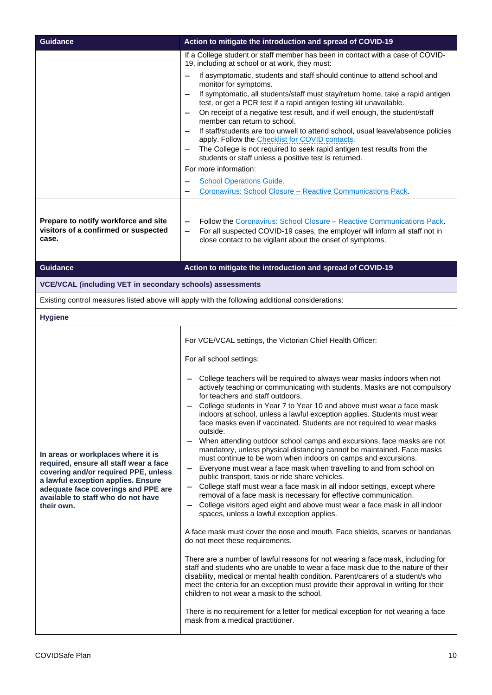| <b>Guidance</b>                                                                                                                                                                                                                                       | Action to mitigate the introduction and spread of COVID-19                                                                                                                                                                                                                                                                                                                                                                                                                                                                                                                                                                                                                                                                                                                                                                                                                                                                                                                                                                                                                                                                                                                                                                                                                                                                                                                                                                                                                                                                                                                                                                                                                                                                                                                                              |
|-------------------------------------------------------------------------------------------------------------------------------------------------------------------------------------------------------------------------------------------------------|---------------------------------------------------------------------------------------------------------------------------------------------------------------------------------------------------------------------------------------------------------------------------------------------------------------------------------------------------------------------------------------------------------------------------------------------------------------------------------------------------------------------------------------------------------------------------------------------------------------------------------------------------------------------------------------------------------------------------------------------------------------------------------------------------------------------------------------------------------------------------------------------------------------------------------------------------------------------------------------------------------------------------------------------------------------------------------------------------------------------------------------------------------------------------------------------------------------------------------------------------------------------------------------------------------------------------------------------------------------------------------------------------------------------------------------------------------------------------------------------------------------------------------------------------------------------------------------------------------------------------------------------------------------------------------------------------------------------------------------------------------------------------------------------------------|
|                                                                                                                                                                                                                                                       | If a College student or staff member has been in contact with a case of COVID-<br>19, including at school or at work, they must:                                                                                                                                                                                                                                                                                                                                                                                                                                                                                                                                                                                                                                                                                                                                                                                                                                                                                                                                                                                                                                                                                                                                                                                                                                                                                                                                                                                                                                                                                                                                                                                                                                                                        |
|                                                                                                                                                                                                                                                       | If asymptomatic, students and staff should continue to attend school and<br>monitor for symptoms.<br>If symptomatic, all students/staff must stay/return home, take a rapid antigen<br>test, or get a PCR test if a rapid antigen testing kit unavailable.<br>On receipt of a negative test result, and if well enough, the student/staff<br>member can return to school.<br>If staff/students are too unwell to attend school, usual leave/absence policies<br>apply. Follow the Checklist for COVID contacts.<br>The College is not required to seek rapid antigen test results from the<br>students or staff unless a positive test is returned.<br>For more information:<br><b>School Operations Guide.</b><br>Coronavirus: School Closure - Reactive Communications Pack.                                                                                                                                                                                                                                                                                                                                                                                                                                                                                                                                                                                                                                                                                                                                                                                                                                                                                                                                                                                                                          |
| Prepare to notify workforce and site<br>visitors of a confirmed or suspected<br>case.                                                                                                                                                                 | Follow the Coronavirus: School Closure - Reactive Communications Pack.<br>For all suspected COVID-19 cases, the employer will inform all staff not in<br>close contact to be vigilant about the onset of symptoms.                                                                                                                                                                                                                                                                                                                                                                                                                                                                                                                                                                                                                                                                                                                                                                                                                                                                                                                                                                                                                                                                                                                                                                                                                                                                                                                                                                                                                                                                                                                                                                                      |
| <b>Guidance</b>                                                                                                                                                                                                                                       | Action to mitigate the introduction and spread of COVID-19                                                                                                                                                                                                                                                                                                                                                                                                                                                                                                                                                                                                                                                                                                                                                                                                                                                                                                                                                                                                                                                                                                                                                                                                                                                                                                                                                                                                                                                                                                                                                                                                                                                                                                                                              |
| <b>VCE/VCAL (including VET in secondary schools) assessments</b>                                                                                                                                                                                      |                                                                                                                                                                                                                                                                                                                                                                                                                                                                                                                                                                                                                                                                                                                                                                                                                                                                                                                                                                                                                                                                                                                                                                                                                                                                                                                                                                                                                                                                                                                                                                                                                                                                                                                                                                                                         |
|                                                                                                                                                                                                                                                       | Existing control measures listed above will apply with the following additional considerations:                                                                                                                                                                                                                                                                                                                                                                                                                                                                                                                                                                                                                                                                                                                                                                                                                                                                                                                                                                                                                                                                                                                                                                                                                                                                                                                                                                                                                                                                                                                                                                                                                                                                                                         |
| <b>Hygiene</b>                                                                                                                                                                                                                                        |                                                                                                                                                                                                                                                                                                                                                                                                                                                                                                                                                                                                                                                                                                                                                                                                                                                                                                                                                                                                                                                                                                                                                                                                                                                                                                                                                                                                                                                                                                                                                                                                                                                                                                                                                                                                         |
| In areas or workplaces where it is<br>required, ensure all staff wear a face<br>covering and/or required PPE, unless<br>a lawful exception applies. Ensure<br>adequate face coverings and PPE are<br>available to staff who do not have<br>their own. | For VCE/VCAL settings, the Victorian Chief Health Officer:<br>For all school settings:<br>College teachers will be required to always wear masks indoors when not<br>actively teaching or communicating with students. Masks are not compulsory<br>for teachers and staff outdoors.<br>College students in Year 7 to Year 10 and above must wear a face mask<br>indoors at school, unless a lawful exception applies. Students must wear<br>face masks even if vaccinated. Students are not required to wear masks<br>outside.<br>When attending outdoor school camps and excursions, face masks are not<br>mandatory, unless physical distancing cannot be maintained. Face masks<br>must continue to be worn when indoors on camps and excursions.<br>Everyone must wear a face mask when travelling to and from school on<br>public transport, taxis or ride share vehicles.<br>College staff must wear a face mask in all indoor settings, except where<br>removal of a face mask is necessary for effective communication.<br>College visitors aged eight and above must wear a face mask in all indoor<br>spaces, unless a lawful exception applies.<br>A face mask must cover the nose and mouth. Face shields, scarves or bandanas<br>do not meet these requirements.<br>There are a number of lawful reasons for not wearing a face mask, including for<br>staff and students who are unable to wear a face mask due to the nature of their<br>disability, medical or mental health condition. Parent/carers of a student/s who<br>meet the criteria for an exception must provide their approval in writing for their<br>children to not wear a mask to the school.<br>There is no requirement for a letter for medical exception for not wearing a face<br>mask from a medical practitioner. |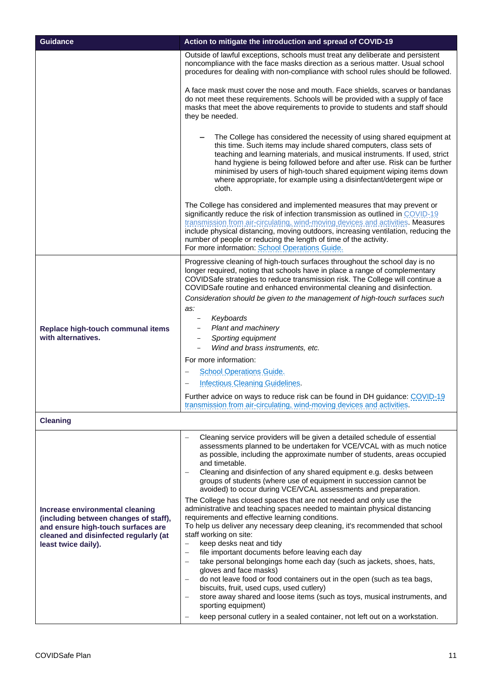| <b>Guidance</b>                                                                                                                                                                | Action to mitigate the introduction and spread of COVID-19                                                                                                                                                                                                                                                                                                                                                                                                                                                                                                                                                                                                                                                                                                                                                                                                                                                                                                                                                                                                                                                                                                                                                                                                                                                                       |
|--------------------------------------------------------------------------------------------------------------------------------------------------------------------------------|----------------------------------------------------------------------------------------------------------------------------------------------------------------------------------------------------------------------------------------------------------------------------------------------------------------------------------------------------------------------------------------------------------------------------------------------------------------------------------------------------------------------------------------------------------------------------------------------------------------------------------------------------------------------------------------------------------------------------------------------------------------------------------------------------------------------------------------------------------------------------------------------------------------------------------------------------------------------------------------------------------------------------------------------------------------------------------------------------------------------------------------------------------------------------------------------------------------------------------------------------------------------------------------------------------------------------------|
|                                                                                                                                                                                | Outside of lawful exceptions, schools must treat any deliberate and persistent<br>noncompliance with the face masks direction as a serious matter. Usual school<br>procedures for dealing with non-compliance with school rules should be followed.                                                                                                                                                                                                                                                                                                                                                                                                                                                                                                                                                                                                                                                                                                                                                                                                                                                                                                                                                                                                                                                                              |
|                                                                                                                                                                                | A face mask must cover the nose and mouth. Face shields, scarves or bandanas<br>do not meet these requirements. Schools will be provided with a supply of face<br>masks that meet the above requirements to provide to students and staff should<br>they be needed.                                                                                                                                                                                                                                                                                                                                                                                                                                                                                                                                                                                                                                                                                                                                                                                                                                                                                                                                                                                                                                                              |
|                                                                                                                                                                                | The College has considered the necessity of using shared equipment at<br>this time. Such items may include shared computers, class sets of<br>teaching and learning materials, and musical instruments. If used, strict<br>hand hygiene is being followed before and after use. Risk can be further<br>minimised by users of high-touch shared equipment wiping items down<br>where appropriate, for example using a disinfectant/detergent wipe or<br>cloth.                                                                                                                                                                                                                                                                                                                                                                                                                                                                                                                                                                                                                                                                                                                                                                                                                                                                    |
|                                                                                                                                                                                | The College has considered and implemented measures that may prevent or<br>significantly reduce the risk of infection transmission as outlined in COVID-19<br>transmission from air-circulating, wind-moving devices and activities. Measures<br>include physical distancing, moving outdoors, increasing ventilation, reducing the<br>number of people or reducing the length of time of the activity.<br>For more information: School Operations Guide.                                                                                                                                                                                                                                                                                                                                                                                                                                                                                                                                                                                                                                                                                                                                                                                                                                                                        |
| Replace high-touch communal items<br>with alternatives.                                                                                                                        | Progressive cleaning of high-touch surfaces throughout the school day is no<br>longer required, noting that schools have in place a range of complementary<br>COVIDSafe strategies to reduce transmission risk. The College will continue a<br>COVIDSafe routine and enhanced environmental cleaning and disinfection.<br>Consideration should be given to the management of high-touch surfaces such<br>as:<br>Keyboards<br>Plant and machinery<br>Sporting equipment<br>Wind and brass instruments, etc.<br>For more information:                                                                                                                                                                                                                                                                                                                                                                                                                                                                                                                                                                                                                                                                                                                                                                                              |
|                                                                                                                                                                                | <b>School Operations Guide.</b><br><b>Infectious Cleaning Guidelines.</b><br>Further advice on ways to reduce risk can be found in DH guidance: COVID-19                                                                                                                                                                                                                                                                                                                                                                                                                                                                                                                                                                                                                                                                                                                                                                                                                                                                                                                                                                                                                                                                                                                                                                         |
|                                                                                                                                                                                | transmission from air-circulating, wind-moving devices and activities.                                                                                                                                                                                                                                                                                                                                                                                                                                                                                                                                                                                                                                                                                                                                                                                                                                                                                                                                                                                                                                                                                                                                                                                                                                                           |
| <b>Cleaning</b>                                                                                                                                                                |                                                                                                                                                                                                                                                                                                                                                                                                                                                                                                                                                                                                                                                                                                                                                                                                                                                                                                                                                                                                                                                                                                                                                                                                                                                                                                                                  |
| Increase environmental cleaning<br>(including between changes of staff),<br>and ensure high-touch surfaces are<br>cleaned and disinfected regularly (at<br>least twice daily). | Cleaning service providers will be given a detailed schedule of essential<br>assessments planned to be undertaken for VCE/VCAL with as much notice<br>as possible, including the approximate number of students, areas occupied<br>and timetable.<br>Cleaning and disinfection of any shared equipment e.g. desks between<br>groups of students (where use of equipment in succession cannot be<br>avoided) to occur during VCE/VCAL assessments and preparation.<br>The College has closed spaces that are not needed and only use the<br>administrative and teaching spaces needed to maintain physical distancing<br>requirements and effective learning conditions.<br>To help us deliver any necessary deep cleaning, it's recommended that school<br>staff working on site:<br>keep desks neat and tidy<br>$\overline{\phantom{m}}$<br>file important documents before leaving each day<br>take personal belongings home each day (such as jackets, shoes, hats,<br>gloves and face masks)<br>do not leave food or food containers out in the open (such as tea bags,<br>biscuits, fruit, used cups, used cutlery)<br>store away shared and loose items (such as toys, musical instruments, and<br>sporting equipment)<br>keep personal cutlery in a sealed container, not left out on a workstation.<br>$\qquad \qquad -$ |